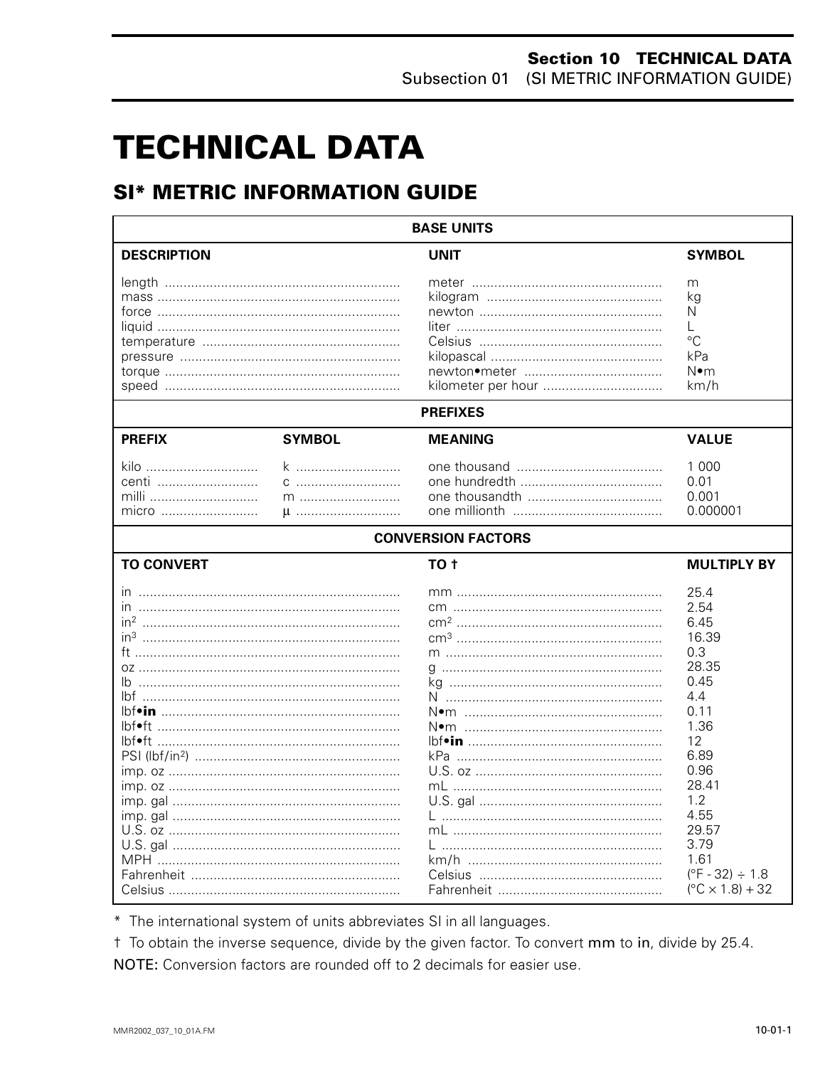# **TECHNICAL DATA**

# **SI\* METRIC INFORMATION GUIDE**

| <b>BASE UNITS</b>                                  |                           |                                                                              |  |  |  |  |
|----------------------------------------------------|---------------------------|------------------------------------------------------------------------------|--|--|--|--|
| <b>DESCRIPTION</b>                                 | <b>UNIT</b>               | <b>SYMBOL</b>                                                                |  |  |  |  |
|                                                    | kilometer per hour        | m<br>ka<br>N<br>L<br>$^{\circ}C$<br>kPa<br>N•m<br>km/h                       |  |  |  |  |
|                                                    | <b>PREFIXES</b>           |                                                                              |  |  |  |  |
| <b>SYMBOL</b><br><b>PREFIX</b>                     | <b>MEANING</b>            | <b>VALUE</b>                                                                 |  |  |  |  |
| k<br>kilo<br>centi<br>milli<br>m<br>micro<br>$\mu$ |                           | 1 0 0 0<br>0.01<br>0.001<br>0.000001                                         |  |  |  |  |
|                                                    | <b>CONVERSION FACTORS</b> |                                                                              |  |  |  |  |
| <b>TO CONVERT</b>                                  | TO <sub>t</sub>           | <b>MULTIPLY BY</b>                                                           |  |  |  |  |
|                                                    |                           | 25.4<br>2.54<br>6.45<br>16.39<br>0.3                                         |  |  |  |  |
|                                                    |                           | 28.35<br>0.45<br>4.4<br>0.11                                                 |  |  |  |  |
|                                                    |                           | 1.36<br>12<br>6.89<br>0.96                                                   |  |  |  |  |
|                                                    |                           | 28.41<br>1.2<br>4.55<br>29.57                                                |  |  |  |  |
|                                                    |                           | 3.79<br>1.61<br>$(^{\circ}F - 32) \div 1.8$<br>$(^{\circ}C \times 1.8) + 32$ |  |  |  |  |

\* The international system of units abbreviates SI in all languages.

t To obtain the inverse sequence, divide by the given factor. To convert mm to in, divide by 25.4. NOTE: Conversion factors are rounded off to 2 decimals for easier use.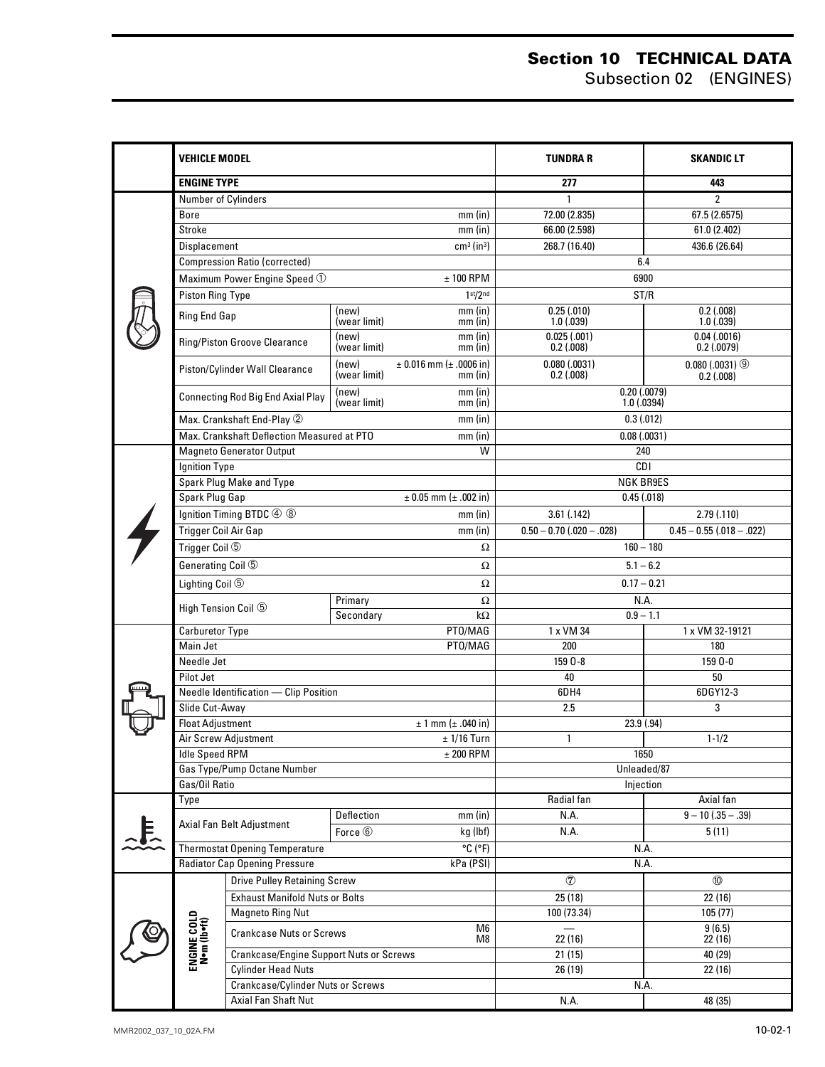#### **Section 10 TECHNICAL DATA** Subsection 02 (ENGINES)

|  | VEHICLE MODEL                                      |                                                                                             |                                         |                                               | <b>TUNDRAR</b>                                             | <b>SKANDIC LT</b>                          |  |  |
|--|----------------------------------------------------|---------------------------------------------------------------------------------------------|-----------------------------------------|-----------------------------------------------|------------------------------------------------------------|--------------------------------------------|--|--|
|  | <b>ENGINE TYPE</b>                                 |                                                                                             |                                         |                                               | 277                                                        | 443                                        |  |  |
|  | Number of Cylinders                                |                                                                                             |                                         |                                               | $\mathbf{1}$                                               | $\overline{2}$                             |  |  |
|  | <b>Bore</b>                                        |                                                                                             |                                         | $mm$ (in)                                     | 72.00 (2.835)                                              | 67.5 (2.6575)                              |  |  |
|  | Stroke                                             |                                                                                             |                                         | $mm$ (in)                                     | 66.00 (2.598)                                              | 61.0 (2.402)                               |  |  |
|  | Displacement                                       |                                                                                             |                                         | $cm3$ (in <sup>3</sup> )                      | 268.7 (16.40)                                              | 436.6 (26.64)                              |  |  |
|  |                                                    | <b>Compression Ratio (corrected)</b>                                                        |                                         |                                               |                                                            | 6.4                                        |  |  |
|  |                                                    | Maximum Power Engine Speed $\odot$                                                          |                                         | $± 100$ RPM                                   |                                                            | 6900                                       |  |  |
|  | <b>Piston Ring Type</b>                            |                                                                                             |                                         | 1 <sup>st</sup> /2 <sup>nd</sup>              |                                                            | ST/R                                       |  |  |
|  | Ring End Gap                                       |                                                                                             | (new)<br>(wear limit)                   | $mm$ (in)<br>$mm$ (in)                        | 0.25(.010)<br>1.0(0.039)                                   | 0.2(0.008)<br>1.0(0.039)                   |  |  |
|  |                                                    | Ring/Piston Groove Clearance                                                                | (new)<br>(wear limit)                   | $mm$ (in)<br>$mm$ (in)                        | 0.025(.001)<br>$0.2$ (.008)                                | 0.04(0.0016)<br>0.2(0.0079)                |  |  |
|  |                                                    | Piston/Cylinder Wall Clearance                                                              | (new)<br>(wear limit)                   | $\pm$ 0.016 mm ( $\pm$ .0006 in)<br>$mm$ (in) | 0.080(.0031)<br>$0.2$ (.008)                               | $0.080(0.0031)$ <sup>①</sup><br>0.2(0.008) |  |  |
|  |                                                    | $mm$ (in)<br>(new)<br><b>Connecting Rod Big End Axial Play</b><br>(wear limit)<br>$mm$ (in) |                                         |                                               | $0.20$ $(.0079)$<br>1.0(0.0394)                            |                                            |  |  |
|  |                                                    | Max. Crankshaft End-Play 2                                                                  |                                         | $mm$ (in)                                     |                                                            | 0.3(012)                                   |  |  |
|  |                                                    | Max. Crankshaft Deflection Measured at PTO                                                  |                                         | $mm$ (in)                                     |                                                            | 0.08(0.0031)                               |  |  |
|  |                                                    | <b>Magneto Generator Output</b>                                                             |                                         | W                                             |                                                            | 240                                        |  |  |
|  | Ignition Type                                      |                                                                                             |                                         |                                               |                                                            | CDI                                        |  |  |
|  |                                                    | Spark Plug Make and Type                                                                    |                                         |                                               |                                                            | <b>NGK BR9ES</b>                           |  |  |
|  | <b>Spark Plug Gap</b>                              |                                                                                             |                                         | $± 0.05$ mm ( $± .002$ in)                    |                                                            | 0.45(.018)                                 |  |  |
|  |                                                    | Ignition Timing BTDC 4 8                                                                    |                                         | $mm$ (in)                                     | 3.61(.142)                                                 | 2.79(0.110)                                |  |  |
|  | Trigger Coil Air Gap                               |                                                                                             |                                         | $mm$ (in)                                     | $0.50 - 0.70$ (.020 - .028)<br>$0.45 - 0.55$ (.018 - .022) |                                            |  |  |
|  | Trigger Coil 5                                     |                                                                                             |                                         | Ω                                             | $160 - 180$                                                |                                            |  |  |
|  | Generating Coil 5                                  |                                                                                             |                                         | Ω                                             | $5.1 - 6.2$                                                |                                            |  |  |
|  | Lighting Coil 5                                    |                                                                                             |                                         | Ω                                             | $0.17 - 0.21$                                              |                                            |  |  |
|  | High Tension Coil 5                                |                                                                                             | Primary                                 | Ω                                             | N.A.                                                       |                                            |  |  |
|  |                                                    |                                                                                             | Secondary<br>$k\Omega$                  |                                               | $0.9 - 1.1$                                                |                                            |  |  |
|  | <b>Carburetor Type</b>                             |                                                                                             |                                         | PT0/MAG                                       | 1 x VM 34                                                  | 1 x VM 32-19121                            |  |  |
|  | Main Jet                                           |                                                                                             |                                         | PT0/MAG                                       | 200                                                        | 180                                        |  |  |
|  | Needle Jet                                         |                                                                                             |                                         |                                               | 159 0-8                                                    | 159 0-0                                    |  |  |
|  | Pilot Jet                                          |                                                                                             |                                         |                                               | 40                                                         | 50                                         |  |  |
|  |                                                    | Needle Identification - Clip Position                                                       |                                         |                                               | 6DH4                                                       | 6DGY12-3                                   |  |  |
|  | Slide Cut-Away<br><b>Float Adjustment</b>          |                                                                                             |                                         | $± 1$ mm ( $± .040$ in)                       | 2.5                                                        | 3                                          |  |  |
|  |                                                    | Air Screw Adjustment                                                                        |                                         | $± 1/16$ Turn                                 | 23.9 (.94)<br>$1 - 1/2$<br>$\mathbf{1}$                    |                                            |  |  |
|  | <b>Idle Speed RPM</b>                              |                                                                                             |                                         | $±$ 200 RPM                                   | 1650                                                       |                                            |  |  |
|  |                                                    | Gas Type/Pump Octane Number                                                                 |                                         |                                               | Unleaded/87                                                |                                            |  |  |
|  | Gas/Oil Ratio                                      |                                                                                             |                                         |                                               | Injection                                                  |                                            |  |  |
|  | Type                                               |                                                                                             |                                         | Radial fan                                    |                                                            | Axial fan                                  |  |  |
|  |                                                    |                                                                                             | Deflection                              | $mm$ (in)                                     | N.A.                                                       | $9 - 10(35 - 39)$                          |  |  |
|  | Axial Fan Belt Adjustment<br>Force $@$<br>kg (lbf) |                                                                                             |                                         |                                               | N.A.                                                       | 5(11)                                      |  |  |
|  |                                                    | <b>Thermostat Opening Temperature</b>                                                       |                                         | $^{\circ}$ C ( $^{\circ}$ F)                  | N.A.                                                       |                                            |  |  |
|  |                                                    | <b>Radiator Cap Opening Pressure</b>                                                        |                                         | kPa (PSI)                                     | N.A.                                                       |                                            |  |  |
|  |                                                    | <b>Drive Pulley Retaining Screw</b>                                                         |                                         |                                               | $\circledcirc$                                             | $\circledR$                                |  |  |
|  |                                                    | <b>Exhaust Manifold Nuts or Bolts</b>                                                       |                                         |                                               | 25(18)                                                     | 22(16)                                     |  |  |
|  |                                                    | <b>Magneto Ring Nut</b>                                                                     |                                         |                                               | 100 (73.34)                                                | 105(77)                                    |  |  |
|  | ENGINE COLD<br>N•m (lb•ft)                         | <b>Crankcase Nuts or Screws</b>                                                             |                                         | M6<br>M8                                      | 22 (16)<br>21(15)                                          | 9(6.5)<br>22 (16)                          |  |  |
|  |                                                    |                                                                                             | Crankcase/Engine Support Nuts or Screws |                                               |                                                            | 40 (29)                                    |  |  |
|  |                                                    | <b>Cylinder Head Nuts</b>                                                                   |                                         |                                               | 26 (19)<br>22(16)                                          |                                            |  |  |
|  |                                                    |                                                                                             | Crankcase/Cylinder Nuts or Screws       |                                               |                                                            | N.A.                                       |  |  |
|  |                                                    | Axial Fan Shaft Nut                                                                         |                                         |                                               | N.A.                                                       | 48 (35)                                    |  |  |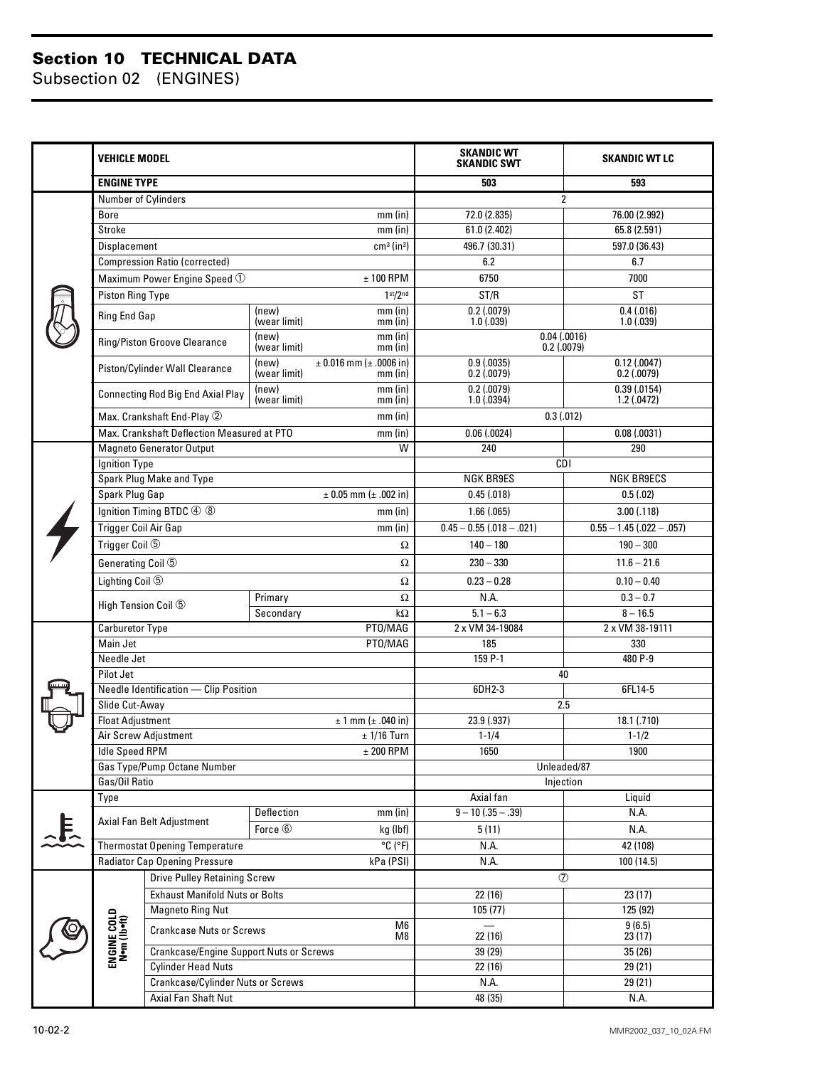#### **Section 10 TECHNICAL DATA**

Subsection 02 (ENGINES)

|   | <b>VEHICLE MODEL</b>        |                                            |                                             |                                           | <b>SKANDIC WT</b><br><b>SKANDIC SWT</b> | <b>SKANDIC WT LC</b>        |  |
|---|-----------------------------|--------------------------------------------|---------------------------------------------|-------------------------------------------|-----------------------------------------|-----------------------------|--|
|   | <b>ENGINE TYPE</b>          |                                            |                                             |                                           | 503                                     | 593                         |  |
|   | Number of Cylinders         |                                            |                                             |                                           | 2                                       |                             |  |
|   | <b>Bore</b>                 |                                            |                                             | mm (in)                                   | 72.0 (2.835)                            | 76.00 (2.992)               |  |
|   | Stroke                      |                                            |                                             | mm (in)                                   | 61.0 (2.402)                            | 65.8 (2.591)                |  |
|   | Displacement                |                                            |                                             | $cm3$ (in <sup>3</sup> )                  | 496.7 (30.31)                           | 597.0 (36.43)               |  |
|   |                             | <b>Compression Ratio (corrected)</b>       |                                             |                                           | 6.2                                     | 6.7                         |  |
|   |                             | Maximum Power Engine Speed $\odot$         |                                             | $± 100$ RPM                               | 6750                                    | 7000                        |  |
|   | Piston Ring Type            |                                            |                                             | 1 <sup>st</sup> /2 <sup>nd</sup>          | ST/R                                    | <b>ST</b>                   |  |
|   | Ring End Gap                |                                            | (new)<br>(wear limit)                       | mm (in)<br>mm (in)                        | 0.2(0.0079)<br>1.0(0.039)               | 0.4(0.016)<br>1.0(0.039)    |  |
|   |                             | Ring/Piston Groove Clearance               | (new)<br>mm (in)<br>(wear limit)<br>mm (in) |                                           | $0.04$ $(.0016)$<br>$0.2$ (.0079)       |                             |  |
|   |                             | Piston/Cylinder Wall Clearance             | (new)<br>(wear limit)                       | $± 0.016$ mm ( $± .0006$ in)<br>$mm$ (in) | 0.9(0.0035)<br>0.2(0.0079)              | 0.12(0.0047)<br>0.2(0.0079) |  |
|   |                             | <b>Connecting Rod Big End Axial Play</b>   | (new)<br>(wear limit)                       | mm (in)<br>$mm$ (in)                      | 0.2(0.0079)<br>1.0(0.0394)              | 0.39(0.0154)<br>1.2(.0472)  |  |
|   |                             | Max. Crankshaft End-Play 2                 |                                             | $mm$ (in)                                 | 0.3(0.012)                              |                             |  |
|   |                             | Max. Crankshaft Deflection Measured at PTO |                                             | $mm$ (in)                                 | 0.06(0.0024)                            | 0.08(0.0031)                |  |
|   |                             | <b>Magneto Generator Output</b>            |                                             | $\overline{W}$                            | 240                                     | 290                         |  |
|   | Ignition Type               |                                            |                                             |                                           |                                         | <b>CDI</b>                  |  |
|   |                             | Spark Plug Make and Type                   |                                             |                                           | <b>NGK BR9ES</b>                        | <b>NGK BR9ECS</b>           |  |
|   | Spark Plug Gap              |                                            |                                             | $± 0.05$ mm ( $± .002$ in)                | 0.45(.018)                              | 0.5(.02)                    |  |
|   |                             | Ignition Timing BTDC 4 8                   |                                             | mm (in)                                   | 1.66(.065)                              | 3.00(.118)                  |  |
|   | <b>Trigger Coil Air Gap</b> |                                            |                                             | $mm$ (in)                                 | $0.45 - 0.55$ $(.018 - .021)$           | $0.55 - 1.45$ (.022 - .057) |  |
|   | Trigger Coil 5              |                                            |                                             | Ω                                         | $140 - 180$                             | $190 - 300$                 |  |
|   | Generating Coil 5           |                                            |                                             | Ω                                         | $230 - 330$                             | $11.6 - 21.6$               |  |
|   | Lighting Coil 5             |                                            |                                             | Ω                                         | $0.23 - 0.28$                           | $0.10 - 0.40$               |  |
|   | High Tension Coil 5         |                                            | Primary                                     | Ω                                         | N.A.                                    | $0.3 - 0.7$                 |  |
|   |                             |                                            | Secondary                                   | $k\Omega$                                 | $5.1 - 6.3$                             | $8 - 16.5$                  |  |
|   | Carburetor Type             |                                            |                                             | PT0/MAG                                   | 2 x VM 34-19084                         | 2 x VM 38-19111             |  |
|   | Main Jet                    |                                            |                                             | PT0/MAG                                   | 185                                     | 330                         |  |
|   | Needle Jet                  |                                            |                                             |                                           | 159 P-1                                 | 480 P-9                     |  |
|   | Pilot Jet                   | Needle Identification - Clip Position      |                                             |                                           | 40<br>6DH2-3<br>6FL14-5                 |                             |  |
|   | Slide Cut-Away              |                                            |                                             |                                           | 2.5                                     |                             |  |
|   | <b>Float Adjustment</b>     |                                            |                                             | $± 1$ mm ( $± .040$ in)                   | 23.9 (.937)<br>18.1 (.710)              |                             |  |
|   |                             | Air Screw Adjustment                       |                                             | $±$ 1/16 Turn                             | $1 - 1/4$                               | $1 - 1/2$                   |  |
|   | <b>Idle Speed RPM</b>       |                                            |                                             | $±$ 200 RPM                               | 1650                                    | 1900                        |  |
|   |                             | Gas Type/Pump Octane Number                |                                             |                                           | Unleaded/87                             |                             |  |
|   | Gas/Oil Ratio               |                                            |                                             |                                           | Injection                               |                             |  |
|   | Type                        |                                            |                                             |                                           | Axial fan                               | Liquid                      |  |
|   |                             | Axial Fan Belt Adjustment                  | Deflection<br>$mm$ (in)                     |                                           | $9 - 10$ (.35 - .39)                    | N.A.                        |  |
| 怎 |                             |                                            | Force $@$                                   | kg (lbf)                                  | 5(11)                                   | N.A.                        |  |
|   |                             | <b>Thermostat Opening Temperature</b>      |                                             | $\overline{C(P)}$                         | N.A.                                    | 42 (108)                    |  |
|   |                             | <b>Radiator Cap Opening Pressure</b>       |                                             | kPa (PSI)                                 | N.A.<br>100 (14.5)                      |                             |  |
|   |                             | <b>Drive Pulley Retaining Screw</b>        |                                             |                                           | $\circledcirc$                          |                             |  |
|   |                             | <b>Exhaust Manifold Nuts or Bolts</b>      |                                             |                                           | 22 (16)                                 | 23(17)                      |  |
|   |                             | <b>Magneto Ring Nut</b>                    |                                             |                                           | 105(77)                                 | 125 (92)                    |  |
|   | ENGINE COLD<br>N•m (lb•ft)  | <b>Crankcase Nuts or Screws</b>            |                                             | M6<br>M8                                  | $\equiv$<br>22 (16)<br>39 (29)          | 9(6.5)<br>23(17)            |  |
|   |                             |                                            | Crankcase/Engine Support Nuts or Screws     |                                           |                                         | 35(26)                      |  |
|   |                             | <b>Cylinder Head Nuts</b>                  |                                             |                                           | 22(16)                                  | 29 (21)                     |  |
|   |                             | Crankcase/Cylinder Nuts or Screws          |                                             |                                           | N.A.                                    | 29 (21)                     |  |
|   |                             | <b>Axial Fan Shaft Nut</b>                 |                                             |                                           | 48 (35)                                 | N.A.                        |  |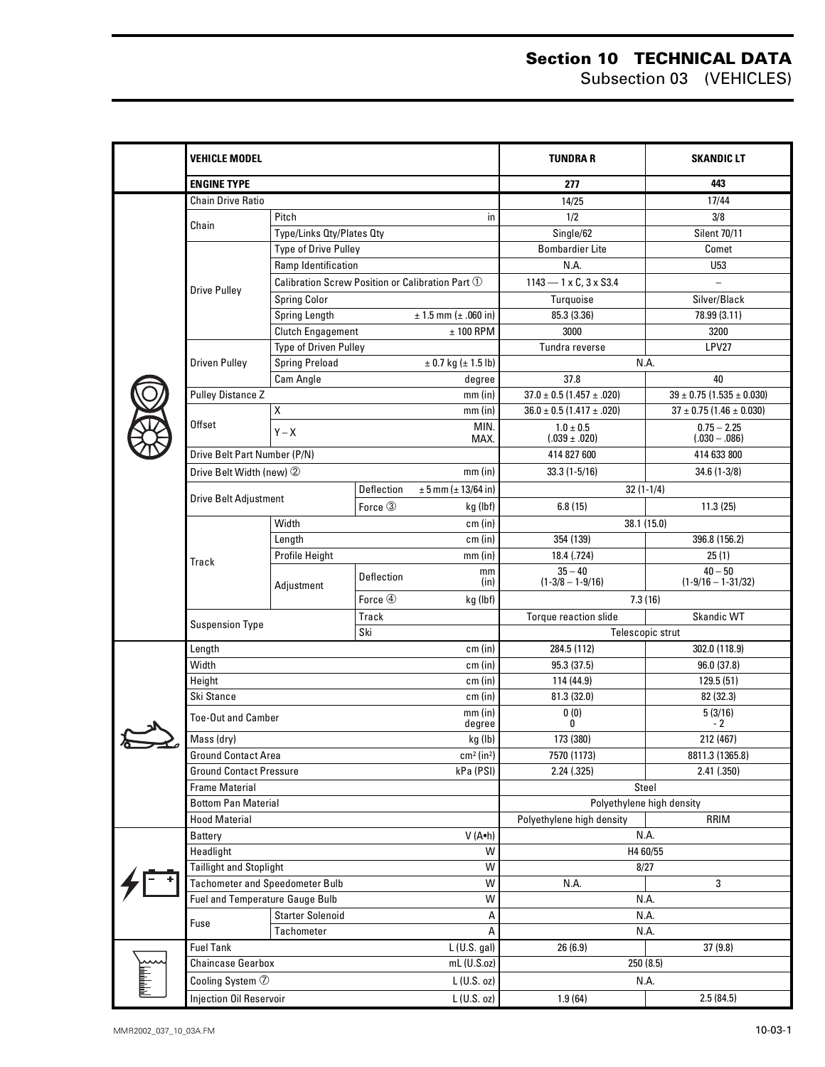|        | <b>VEHICLE MODEL</b>                                |                                                  |            |                                    | <b>TUNDRA R</b>                                                | <b>SKANDIC LT</b>                 |  |  |
|--------|-----------------------------------------------------|--------------------------------------------------|------------|------------------------------------|----------------------------------------------------------------|-----------------------------------|--|--|
|        | <b>ENGINE TYPE</b>                                  |                                                  |            |                                    | 277                                                            | 443                               |  |  |
|        | <b>Chain Drive Ratio</b>                            |                                                  |            |                                    | 14/25                                                          | 17/44                             |  |  |
|        |                                                     | Pitch<br>in                                      |            | 1/2                                | 3/8                                                            |                                   |  |  |
|        | Chain                                               | Type/Links Qty/Plates Qty                        |            |                                    | Single/62                                                      | <b>Silent 70/11</b>               |  |  |
|        |                                                     | Type of Drive Pulley                             |            |                                    | Bombardier Lite                                                | Comet                             |  |  |
|        |                                                     | Ramp Identification                              |            |                                    | N.A.                                                           | U53                               |  |  |
|        |                                                     | Calibration Screw Position or Calibration Part 1 |            |                                    | $1143 - 1 \times C$ , $3 \times S3.4$                          |                                   |  |  |
|        | <b>Drive Pulley</b>                                 | <b>Spring Color</b>                              |            |                                    | Turquoise                                                      | Silver/Black                      |  |  |
|        |                                                     | Spring Length                                    |            | $± 1.5$ mm ( $± .060$ in)          | 85.3 (3.36)                                                    | 78.99 (3.11)                      |  |  |
|        |                                                     | Clutch Engagement<br>$± 100$ RPM                 |            |                                    | 3000                                                           | 3200                              |  |  |
|        |                                                     | Type of Driven Pulley                            |            |                                    | Tundra reverse                                                 | LPV27                             |  |  |
|        | Driven Pulley                                       | <b>Spring Preload</b>                            |            | $\pm$ 0.7 kg ( $\pm$ 1.5 lb)       |                                                                | N.A.                              |  |  |
|        |                                                     | Cam Angle                                        |            | degree                             | 37.8                                                           | 40                                |  |  |
|        | <b>Pulley Distance Z</b>                            |                                                  |            | $mm$ (in)                          | $37.0 \pm 0.5 (1.457 \pm .020)$                                | $39 \pm 0.75$ (1.535 $\pm$ 0.030) |  |  |
|        |                                                     | Χ                                                |            | mm(in)                             | $36.0 \pm 0.5 (1.417 \pm .020)$                                | $37 \pm 0.75$ (1.46 $\pm$ 0.030)  |  |  |
|        | Offset                                              | $Y - X$                                          |            | MIN.                               | $1.0 \pm 0.5$                                                  | $0.75 - 2.25$                     |  |  |
|        |                                                     | MAX.                                             |            |                                    | $(.039 \pm .020)$                                              | $(.030-.086)$                     |  |  |
|        | Drive Belt Part Number (P/N)                        |                                                  |            |                                    | 414 827 600                                                    | 414 633 800                       |  |  |
|        | Drive Belt Width (new) 2                            |                                                  |            | $mm$ (in)                          | $33.3(1-5/16)$                                                 | $34.6(1-3/8)$                     |  |  |
|        | <b>Drive Belt Adjustment</b>                        | Deflection<br>$\pm 5$ mm ( $\pm 13/64$ in)       |            |                                    | $32(1-1/4)$                                                    |                                   |  |  |
|        |                                                     |                                                  | Force 3    | kg (lbf)                           | 6.8(15)                                                        | 11.3(25)                          |  |  |
|        |                                                     | Width                                            |            | cm (in)                            |                                                                | 38.1 (15.0)                       |  |  |
|        |                                                     | Length                                           |            | cm (in)                            | 354 (139)                                                      | 396.8 (156.2)                     |  |  |
|        | Track                                               | <b>Profile Height</b>                            |            | $mm$ (in)                          | 18.4 (.724)                                                    | 25(1)                             |  |  |
|        |                                                     |                                                  | Deflection | mm<br>(in)                         | $35 - 40$<br>$(1-3/8 - 1-9/16)$                                | $40 - 50$<br>$(1-9/16 - 1-31/32)$ |  |  |
|        |                                                     | Adjustment                                       | Force 4    | kg (lbf)                           |                                                                | 7.3(16)                           |  |  |
|        |                                                     |                                                  | Track      |                                    | Torque reaction slide                                          | <b>Skandic WT</b>                 |  |  |
|        | <b>Suspension Type</b>                              |                                                  | Ski        |                                    | Telescopic strut                                               |                                   |  |  |
|        | Length                                              |                                                  |            | cm (in)                            | 284.5 (112)<br>302.0 (118.9)                                   |                                   |  |  |
|        | Width                                               |                                                  |            | cm (in)                            | 95.3 (37.5)                                                    | 96.0 (37.8)                       |  |  |
|        | Height                                              |                                                  |            | cm (in)                            | 114 (44.9)                                                     | 129.5(51)                         |  |  |
|        | Ski Stance                                          |                                                  |            | cm (in)                            | 81.3 (32.0)                                                    | 82 (32.3)                         |  |  |
|        | <b>Toe-Out and Camber</b>                           |                                                  |            | $mm$ (in)                          | 0(0)                                                           | 5(3/16)                           |  |  |
|        |                                                     |                                                  |            | degree                             | 0                                                              | $-2$                              |  |  |
| $\sum$ | Mass (dry)                                          |                                                  |            | kg (lb)                            | 173 (380)                                                      | 212 (467)                         |  |  |
|        | <b>Ground Contact Area</b>                          |                                                  |            | cm <sup>2</sup> (in <sup>2</sup> ) | 7570 (1173)                                                    | 8811.3 (1365.8)                   |  |  |
|        | <b>Ground Contact Pressure</b>                      |                                                  |            | kPa (PSI)                          | 2.24(.325)<br>2.41(.350)                                       |                                   |  |  |
|        | <b>Frame Material</b><br><b>Bottom Pan Material</b> |                                                  |            |                                    | Steel                                                          |                                   |  |  |
|        | <b>Hood Material</b>                                |                                                  |            |                                    | Polyethylene high density<br>Polyethylene high density<br>RRIM |                                   |  |  |
|        | Battery                                             |                                                  |            | V (A.h)                            | N.A.                                                           |                                   |  |  |
|        | Headlight<br>W                                      |                                                  |            |                                    | H4 60/55                                                       |                                   |  |  |
|        | <b>Taillight and Stoplight</b>                      |                                                  |            | W                                  | 8/27                                                           |                                   |  |  |
|        | <b>Tachometer and Speedometer Bulb</b>              |                                                  |            | W                                  | N.A.<br>3                                                      |                                   |  |  |
|        | Fuel and Temperature Gauge Bulb                     |                                                  |            | W                                  | N.A.                                                           |                                   |  |  |
|        | Fuse                                                | <b>Starter Solenoid</b><br>Α                     |            |                                    | N.A.                                                           |                                   |  |  |
|        |                                                     | Tachometer<br>А                                  |            |                                    |                                                                | N.A.                              |  |  |
|        | <b>Fuel Tank</b>                                    |                                                  |            | L(U.S. gal)                        | 26(6.9)                                                        | 37(9.8)                           |  |  |
|        | <b>Chaincase Gearbox</b>                            |                                                  |            | mL (U.S.oz)                        | 250 (8.5)                                                      |                                   |  |  |
|        | Cooling System 7                                    |                                                  |            | L(U.S. oz)                         | N.A.                                                           |                                   |  |  |
|        | Injection Oil Reservoir                             |                                                  |            | $L$ (U.S. oz)                      | 1.9(64)                                                        | 2.5(84.5)                         |  |  |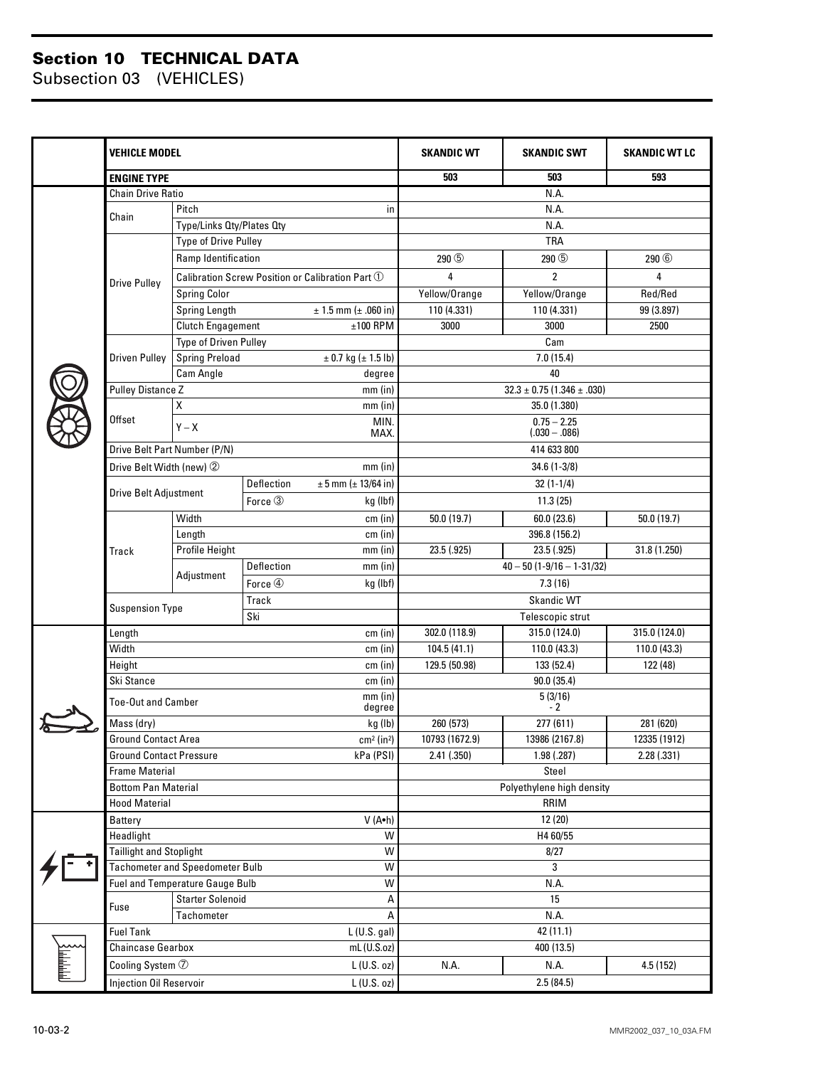#### **Section 10 TECHNICAL DATA**

Subsection 03 (VEHICLES)

|                 | <b>VEHICLE MODEL</b>                  |                                        |            |                                                  | <b>SKANDIC WT</b>                        | <b>SKANDIC SWT</b>          | <b>SKANDIC WT LC</b> |  |  |
|-----------------|---------------------------------------|----------------------------------------|------------|--------------------------------------------------|------------------------------------------|-----------------------------|----------------------|--|--|
|                 | <b>ENGINE TYPE</b>                    |                                        |            |                                                  | 503                                      | 503                         | 593                  |  |  |
|                 | <b>Chain Drive Ratio</b>              |                                        |            |                                                  | N.A.                                     |                             |                      |  |  |
|                 |                                       | Pitch                                  |            | in.                                              |                                          | N.A.                        |                      |  |  |
|                 | Chain                                 | Type/Links Oty/Plates Oty              |            |                                                  |                                          | N.A.                        |                      |  |  |
|                 |                                       | Type of Drive Pulley                   |            |                                                  | <b>TRA</b>                               |                             |                      |  |  |
|                 |                                       | Ramp Identification                    |            |                                                  | 290 <sup>(5)</sup>                       | 290 <sup>(5)</sup>          | 290 <sup>6</sup>     |  |  |
|                 | <b>Drive Pulley</b>                   |                                        |            | Calibration Screw Position or Calibration Part 1 | 4                                        | $\overline{2}$              | 4                    |  |  |
|                 |                                       | <b>Spring Color</b>                    |            |                                                  | Yellow/Orange                            | Yellow/Orange               | Red/Red              |  |  |
|                 |                                       | Spring Length                          |            | $± 1.5$ mm ( $± .060$ in)                        | 110 (4.331)                              | 110 (4.331)                 | 99 (3.897)           |  |  |
|                 |                                       | <b>Clutch Engagement</b>               |            | $±100$ RPM                                       | 3000                                     | 3000                        | 2500                 |  |  |
|                 |                                       | Type of Driven Pulley                  |            |                                                  | Cam                                      |                             |                      |  |  |
|                 | <b>Driven Pulley</b>                  | <b>Spring Preload</b>                  |            | $\pm$ 0.7 kg ( $\pm$ 1.5 lb)                     | 7.0(15.4)                                |                             |                      |  |  |
|                 |                                       | Cam Angle                              |            | degree                                           | 40                                       |                             |                      |  |  |
|                 | <b>Pulley Distance Z</b>              |                                        |            | $mm$ (in)                                        | $32.3 \pm 0.75 (1.346 \pm .030)$         |                             |                      |  |  |
|                 |                                       | Χ                                      |            | $mm$ (in)                                        | 35.0 (1.380)                             |                             |                      |  |  |
|                 | Offset                                | MIN.                                   |            |                                                  | $0.75 - 2.25$                            |                             |                      |  |  |
|                 |                                       | $Y - X$<br>MAX.                        |            |                                                  |                                          | $(.030 - .086)$             |                      |  |  |
|                 |                                       | Drive Belt Part Number (P/N)           |            |                                                  |                                          | 414 633 800                 |                      |  |  |
|                 | Drive Belt Width (new) 2              |                                        |            | $mm$ (in)                                        |                                          | $34.6(1-3/8)$               |                      |  |  |
|                 |                                       |                                        | Deflection | $± 5$ mm ( $± 13/64$ in)                         | $32(1-1/4)$                              |                             |                      |  |  |
|                 | <b>Drive Belt Adjustment</b>          |                                        | Force 3    | kg (lbf)                                         |                                          | 11.3(25)                    |                      |  |  |
|                 |                                       | Width<br>cm (in)                       |            |                                                  | 50.0 (19.7)<br>50.0 (19.7)<br>60.0(23.6) |                             |                      |  |  |
|                 |                                       | Length                                 |            | cm (in)                                          | 396.8 (156.2)                            |                             |                      |  |  |
|                 | Track                                 | Profile Height<br>mm (in)              |            |                                                  | 23.5 (.925)                              | 23.5 (.925)<br>31.8 (1.250) |                      |  |  |
|                 |                                       | Adjustment                             | Deflection | $mm$ (in)                                        | $40 - 50(1 - 9/16 - 1 - 31/32)$          |                             |                      |  |  |
|                 |                                       |                                        | Force 4    | kg (lbf)                                         | 7.3(16)                                  |                             |                      |  |  |
|                 |                                       | Track                                  |            |                                                  |                                          | Skandic WT                  |                      |  |  |
|                 | <b>Suspension Type</b>                |                                        | Ski        |                                                  |                                          | Telescopic strut            |                      |  |  |
|                 | Length                                |                                        |            | cm (in)                                          | 302.0 (118.9)                            | 315.0 (124.0)               | 315.0 (124.0)        |  |  |
|                 | Width                                 |                                        |            | cm (in)                                          | 104.5 (41.1)                             | 110.0 (43.3)                | 110.0 (43.3)         |  |  |
|                 | Height                                |                                        |            | cm (in)                                          | 129.5 (50.98)                            | 133 (52.4)                  | 122 (48)             |  |  |
|                 | Ski Stance                            |                                        |            | cm (in)                                          | 90.0(35.4)                               |                             |                      |  |  |
|                 | <b>Toe-Out and Camber</b>             |                                        |            | $mm$ (in)<br>degree                              | 5(3/16)<br>$-2$                          |                             |                      |  |  |
|                 | Mass (dry)                            |                                        | kg (lb)    |                                                  | 260 (573)                                | 277 (611)                   | 281 (620)            |  |  |
|                 | Ground Contact Area                   |                                        |            | cm <sup>2</sup> (in <sup>2</sup> )               | 10793 (1672.9)                           | 13986 (2167.8)              | 12335 (1912)         |  |  |
|                 | <b>Ground Contact Pressure</b>        |                                        |            | kPa (PSI)                                        | 2.41(.350)                               | 1.98(.287)                  | 2.28(.331)           |  |  |
|                 | <b>Frame Material</b>                 |                                        |            |                                                  | Steel                                    |                             |                      |  |  |
|                 | <b>Bottom Pan Material</b>            |                                        |            |                                                  | Polyethylene high density                |                             |                      |  |  |
|                 | <b>Hood Material</b>                  |                                        |            |                                                  | RRIM                                     |                             |                      |  |  |
|                 | Battery                               |                                        |            | V (A•h)                                          | 12(20)                                   |                             |                      |  |  |
|                 | Headlight                             |                                        |            | W                                                | H4 60/55                                 |                             |                      |  |  |
|                 | Taillight and Stoplight               |                                        |            | W                                                | 8/27                                     |                             |                      |  |  |
|                 |                                       | <b>Tachometer and Speedometer Bulb</b> |            | W                                                | 3                                        |                             |                      |  |  |
|                 |                                       | Fuel and Temperature Gauge Bulb<br>W   |            |                                                  | N.A.                                     |                             |                      |  |  |
|                 | Fuse                                  | <b>Starter Solenoid</b><br>А           |            |                                                  | 15                                       |                             |                      |  |  |
|                 |                                       | Tachometer<br>A                        |            |                                                  | N.A.                                     |                             |                      |  |  |
|                 | <b>Fuel Tank</b>                      |                                        |            | L(U.S. gal)                                      | 42 (11.1)                                |                             |                      |  |  |
|                 | <b>Chaincase Gearbox</b>              |                                        |            | $mL$ (U.S.oz)                                    | 400 (13.5)                               |                             |                      |  |  |
| <b>SLILLING</b> | Cooling System $\oslash$              |                                        |            | L(U.S. oz)                                       | N.A.                                     | N.A.                        | 4.5 (152)            |  |  |
|                 | L(U.S. oz)<br>Injection Oil Reservoir |                                        |            |                                                  | 2.5(84.5)                                |                             |                      |  |  |